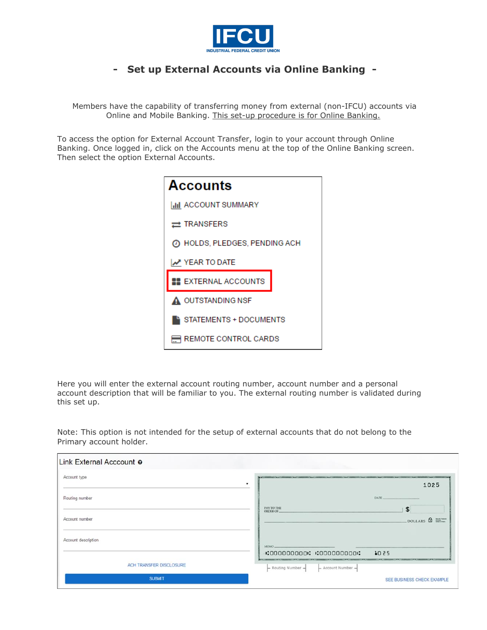

## **- Set up External Accounts via Online Banking -**

Members have the capability of transferring money from external (non-IFCU) accounts via Online and Mobile Banking. This set-up procedure is for Online Banking.

To access the option for External Account Transfer, login to your account through Online Banking. Once logged in, click on the Accounts menu at the top of the Online Banking screen. Then select the option External Accounts.



Here you will enter the external account routing number, account number and a personal account description that will be familiar to you. The external routing number is validated during this set up.

Note: This option is not intended for the setup of external accounts that do not belong to the Primary account holder.

| Link External Acccount o |                                                                                                                                 |
|--------------------------|---------------------------------------------------------------------------------------------------------------------------------|
| Account type<br>٠        | the control of the company's and company's and company's and company's and company's and company's<br><b>STATISTICS</b><br>1025 |
| Routing number           | DATE<br>PAY TO THE                                                                                                              |
| Account number           | \$<br>ORDER OF.<br>DOLLARS & EEL                                                                                                |
| Account description      | MEMO.                                                                                                                           |
|                          | 1025<br>:0000000000: :000000000:                                                                                                |
| ACH TRANSFER DISCLOSURE  | $-$ Routing Number $-$<br>- Account Number -                                                                                    |
| <b>SUBMIT</b>            | SEE BUSINESS CHECK EXAMPLE                                                                                                      |